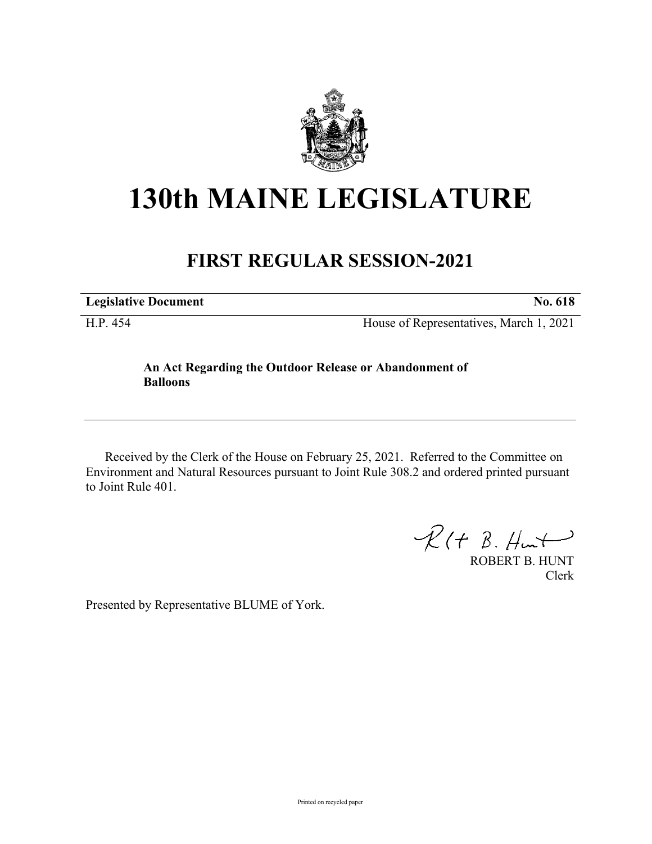

## **130th MAINE LEGISLATURE**

## **FIRST REGULAR SESSION-2021**

**Legislative Document No. 618**

H.P. 454 House of Representatives, March 1, 2021

## **An Act Regarding the Outdoor Release or Abandonment of Balloons**

Received by the Clerk of the House on February 25, 2021. Referred to the Committee on Environment and Natural Resources pursuant to Joint Rule 308.2 and ordered printed pursuant to Joint Rule 401.

 $R(t B. Hmt)$ 

ROBERT B. HUNT Clerk

Presented by Representative BLUME of York.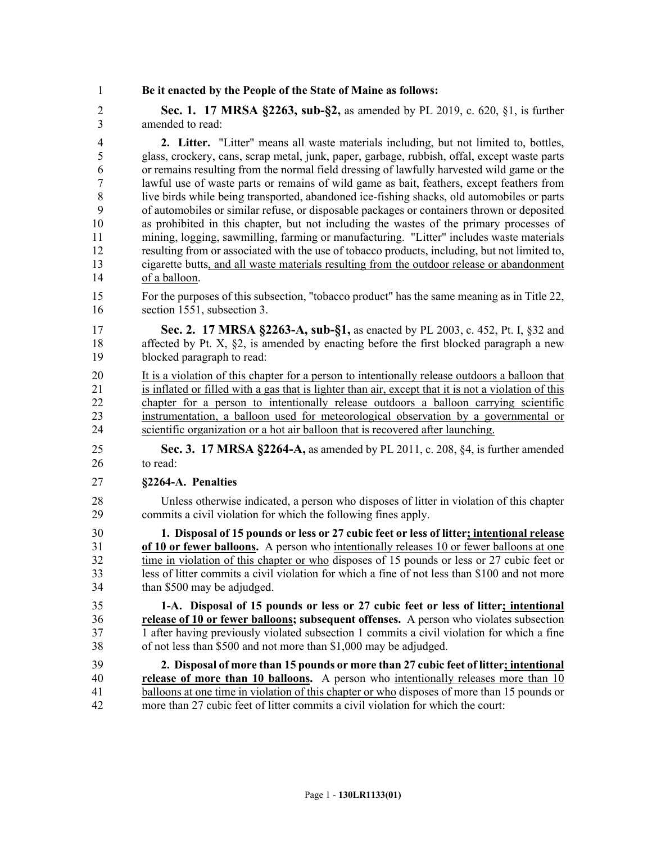1 **Be it enacted by the People of the State of Maine as follows:**

2 **Sec. 1. 17 MRSA §2263, sub-§2,** as amended by PL 2019, c. 620, §1, is further 3 amended to read:

4 **2. Litter.** "Litter" means all waste materials including, but not limited to, bottles, 5 glass, crockery, cans, scrap metal, junk, paper, garbage, rubbish, offal, except waste parts 6 or remains resulting from the normal field dressing of lawfully harvested wild game or the 7 lawful use of waste parts or remains of wild game as bait, feathers, except feathers from 8 live birds while being transported, abandoned ice-fishing shacks, old automobiles or parts 9 of automobiles or similar refuse, or disposable packages or containers thrown or deposited 10 as prohibited in this chapter, but not including the wastes of the primary processes of 11 mining, logging, sawmilling, farming or manufacturing. "Litter" includes waste materials 12 resulting from or associated with the use of tobacco products, including, but not limited to, 13 cigarette butts, and all waste materials resulting from the outdoor release or abandonment 14 of a balloon.

- 15 For the purposes of this subsection, "tobacco product" has the same meaning as in Title 22, 16 section 1551, subsection 3.
- 17 **Sec. 2. 17 MRSA §2263-A, sub-§1,** as enacted by PL 2003, c. 452, Pt. I, §32 and 18 affected by Pt. X,  $\S2$ , is amended by enacting before the first blocked paragraph a new 19 blocked paragraph to read:

20 It is a violation of this chapter for a person to intentionally release outdoors a balloon that 21 is inflated or filled with a gas that is lighter than air, except that it is not a violation of this 22 chapter for a person to intentionally release outdoors a balloon carrying scientific 23 instrumentation, a balloon used for meteorological observation by a governmental or 24 scientific organization or a hot air balloon that is recovered after launching.

- 25 **Sec. 3. 17 MRSA §2264-A,** as amended by PL 2011, c. 208, §4, is further amended 26 to read:
- 27 **§2264-A. Penalties**
- 28 Unless otherwise indicated, a person who disposes of litter in violation of this chapter 29 commits a civil violation for which the following fines apply.

30 **1. Disposal of 15 pounds or less or 27 cubic feet or less of litter; intentional release**  31 **of 10 or fewer balloons.** A person who intentionally releases 10 or fewer balloons at one 32 time in violation of this chapter or who disposes of 15 pounds or less or 27 cubic feet or 33 less of litter commits a civil violation for which a fine of not less than \$100 and not more 34 than \$500 may be adjudged.

35 **1-A. Disposal of 15 pounds or less or 27 cubic feet or less of litter; intentional**  36 **release of 10 or fewer balloons; subsequent offenses.** A person who violates subsection 37 1 after having previously violated subsection 1 commits a civil violation for which a fine 38 of not less than \$500 and not more than \$1,000 may be adjudged.

39 **2. Disposal of more than 15 pounds or more than 27 cubic feet of litter; intentional**  40 **release of more than 10 balloons.** A person who intentionally releases more than 10 41 balloons at one time in violation of this chapter or who disposes of more than 15 pounds or 42 more than 27 cubic feet of litter commits a civil violation for which the court: